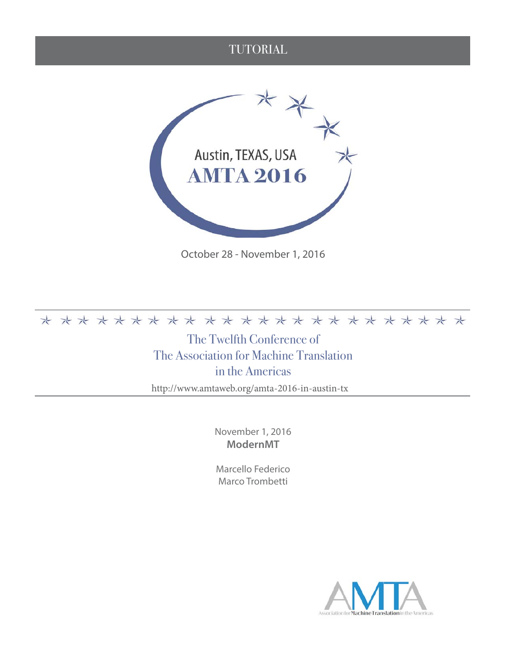#### TUTORIAL



October 28 - November 1, 2016

#### 

The Twelfth Conference of The Association for Machine Translation in the Americas

http://www.amtaweb.org/amta-2016-in-austin-tx

November 1, 2016 **ModernMT**

Marcello Federico Marco Trombetti

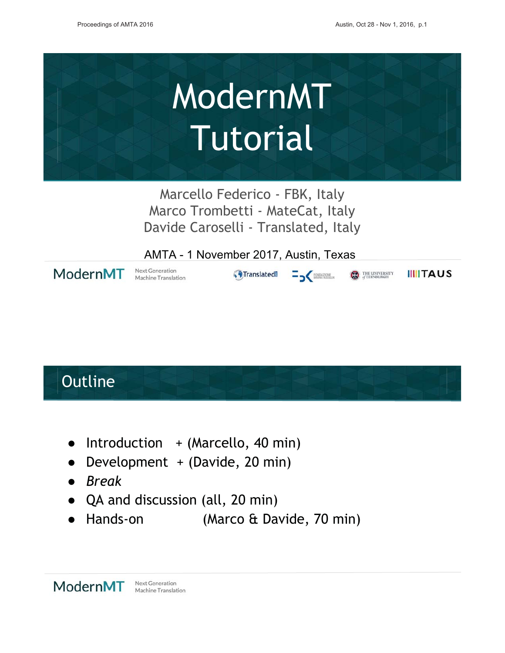

Marcello Federico - FBK, Italy Marco Trombetti - MateCat, Italy Davide Caroselli - Translated, Italy

AMTA - 1 November 2017, Austin, Texas



Machine Translation

 $\overline{\mathbf{B}}$ **G**Translated

**IIIITAUS** THE UNIVERSITY

### Outline

- Introduction + (Marcello, 40 min)
- Development + (Davide, 20 min)
- $\bullet$  Break
- QA and discussion (all, 20 min)
- (Marco & Davide, 70 min) Hands-on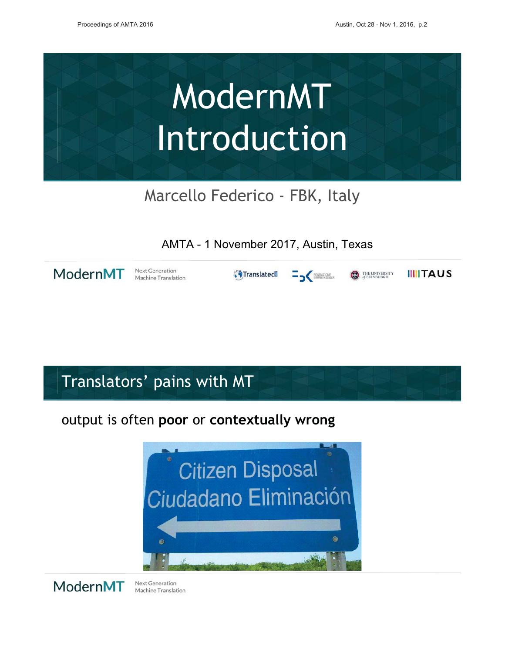

Marcello Federico - FBK, Italy

AMTA - 1 November 2017, Austin, Texas

ModernMT

**Next Generation** Machine Translation

**G**Translated  $=$   $\frac{1}{2}$  for  $\frac{1}{2}$  and  $\frac{1}{2}$  for  $\frac{1}{2}$  and  $\frac{1}{2}$  for  $\frac{1}{2}$  and  $\frac{1}{2}$  and  $\frac{1}{2}$  and  $\frac{1}{2}$  and  $\frac{1}{2}$  and  $\frac{1}{2}$  and  $\frac{1}{2}$  and  $\frac{1}{2}$  and  $\frac{1}{2}$  and  $\frac{1}{2}$  and  $\frac{1}{2$ 

**IIIITAUS CO** THE UNIVERSITY

Translators' pains with MT

#### output is often poor or contextually wrong



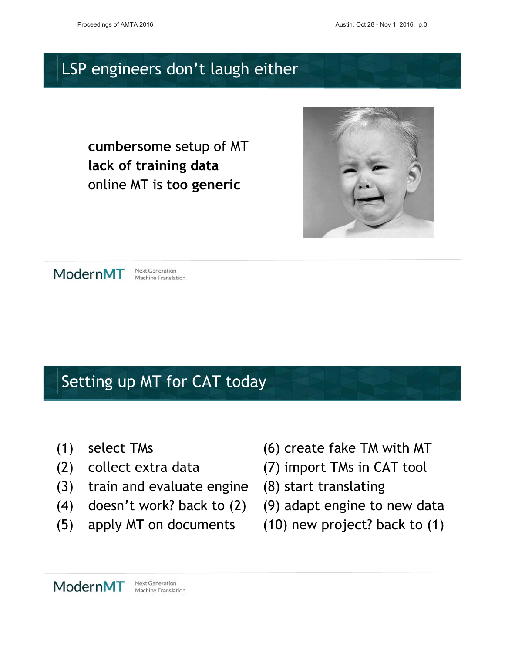### LSP engineers don't laugh either

cumbersome setup of MT lack of training data online MT is too generic





**Next Generation** Machine Translation

# Setting up MT for CAT today

- (1) select TMs
- (1) seteet me<br>(2) collect extra data
- (3) train and evaluate engine  $(8)$  start translating
- (4) doesn't work? back to (2)
- $\dot{S}$ ) apply MT on documents
- (6) create fake TM with MT
- (7) import TMs in CAT tool
- 
- $\check{P}(9)$  adapt engine to new data
- (10) new project? back to (1)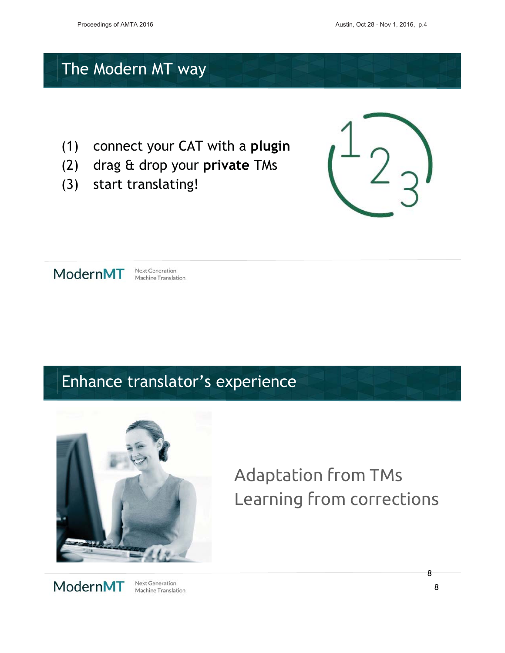### The Modern MT way

- connect your CAT with a plugin  $(1)$
- $(2)$ drag & drop your private TMs
- $(3)$ start translating!





**Next Generation** Machine Translation

### Enhance translator's experience



### **Adaptation from TMs** Learning from corrections



Next Generation Machine Translation 8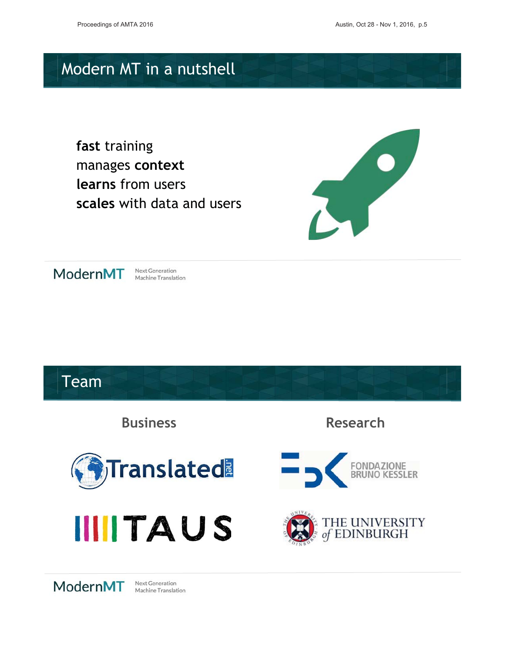## Modern MT in a nutshell

fast training manages context learns from users reales with data and users





Next Generation Machine Translation

### **Team Rucinoss Research Translated FONDAZIONE**



ModernMT

Next Generation Machine Translation

**IIITAUS**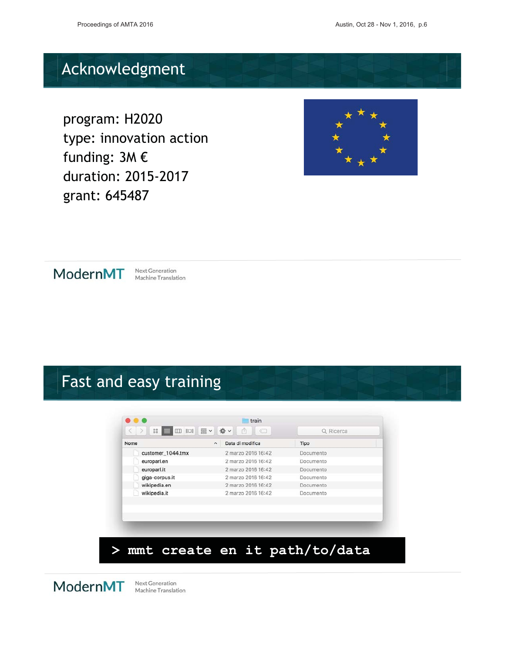# **Acknowledgment**

program: H2020 .<br>type: innovation action funding:  $3M \in$   @9 aaration: 201.<br>grant: 645487





Next Generation Machine Translation

# Fast and easy training

|                   | 尊~<br>$\frac{000}{000}$ $\checkmark$<br>â |           |
|-------------------|-------------------------------------------|-----------|
| Nome              | Data di modifica<br>$\hat{\phantom{a}}$   | Tipo      |
| customer_1044.tmx | 2 marzo 2016 16:42                        | Documento |
| europarl.en       | 2 marzo 2016 16:42                        | Documento |
| europarl.it       | 2 marzo 2016 16:42                        | Documento |
| giga-corpus.it    | 2 marzo 2016 16:42                        | Documento |
| wikipedia.en      | 2 marzo 2016 16:42                        | Documento |
| wikipedia.it      | 2 marzo 2016 16:42                        | Documento |
|                   |                                           |           |
|                   |                                           |           |
|                   |                                           |           |

### and the set of the set the set to set to the set of the set of the set of the set of the set of the set of the set of the set of the set of the set of the set of the set of the set of the set of the set of the set of the s

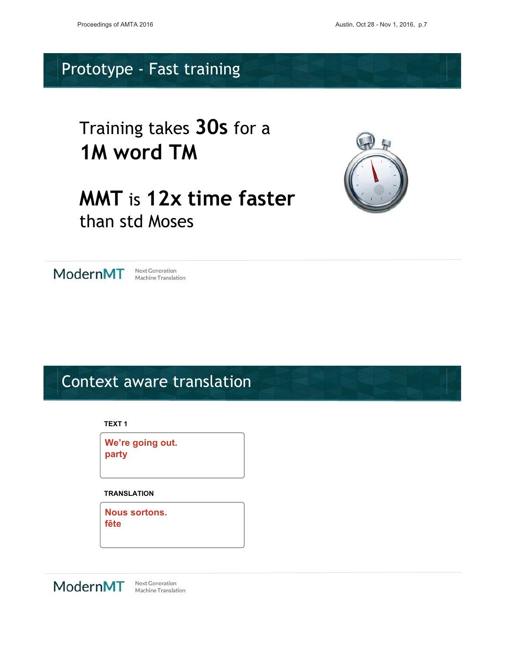#### Prototype - Fast training

### Training takes 30s for a 1M word TM

### **MMT** is 12x time faster than std Moses





Machine Translation

#### Context aware translation

**TEXT1** 

We're going out. party

**TRANSLATION** 

**Nous sortons.** fête



Machine Translation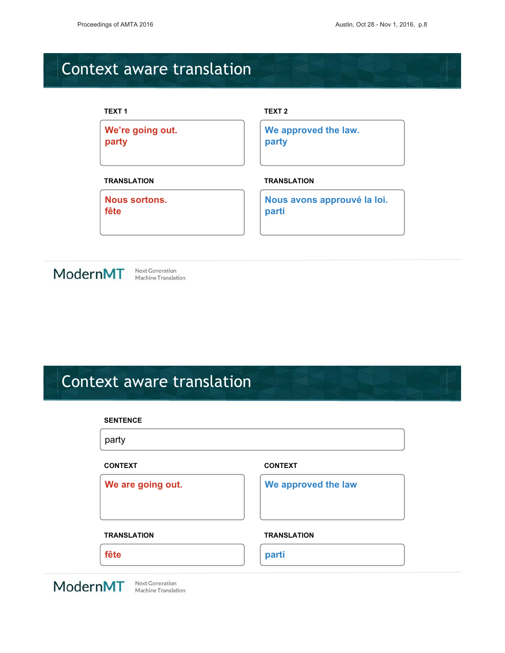# **Context aware translation**

| <b>TEXT1</b>         | TEXT <sub>2</sub>           |
|----------------------|-----------------------------|
| We're going out.     | We approved the law.        |
| party                | party                       |
| <b>TRANSLATION</b>   | <b>TRANSLATION</b>          |
| <b>Nous sortons.</b> | Nous avons approuvé la loi. |
| fête                 | parti                       |



# **Context aware translation**

|                                                    | <b>SENTENCE</b>    |                     |  |
|----------------------------------------------------|--------------------|---------------------|--|
|                                                    | party              |                     |  |
|                                                    | <b>CONTEXT</b>     | <b>CONTEXT</b>      |  |
|                                                    | We are going out.  | We approved the law |  |
|                                                    |                    |                     |  |
|                                                    | <b>TRANSLATION</b> | <b>TRANSLATION</b>  |  |
|                                                    | fête               | parti               |  |
| Next Generation<br>ModernMT<br>Machine Translation |                    |                     |  |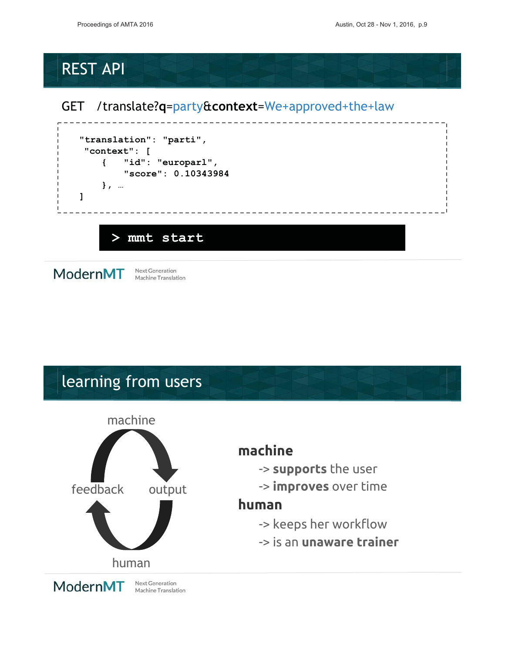### **REST API**

#### GET /translate?q=party&context=We+approved+the+law



ModernMT

Next Generation Machine Translation

### learning from users



#### machine

- -> supports the user
- -> improves over time

#### human

- -> keeps her workflow
- -> is an unaware trainer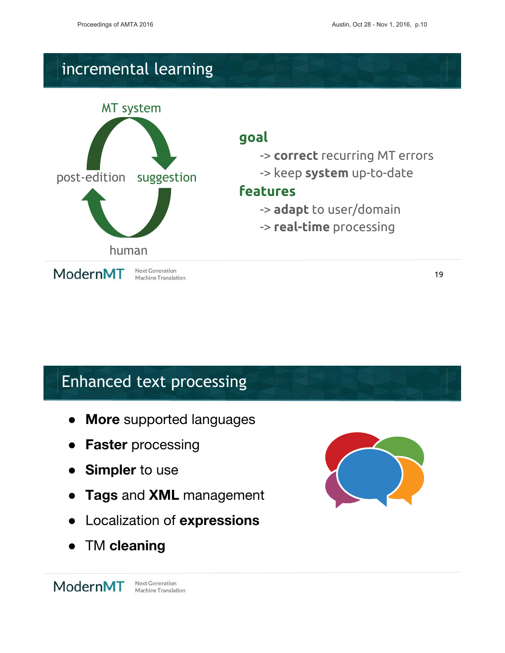# incremental learning



#### goal

- -> correct recurring MT errors
- -> keep **svstem** up-to-date

#### **features**

- -> **adapt** to user/domain
- -> **real-time** processing

19

# **Enhanced text processing**

- $\overline{\phantom{a}}$ • More supported languages
- $\overline{\phantom{a}}$ • Faster processing
- $\bullet$ Simpler to use
- $\bullet$ • Tags and **XML** management
- $\bullet$ • Localization of expressions
- $\bullet$ • TM cleaning

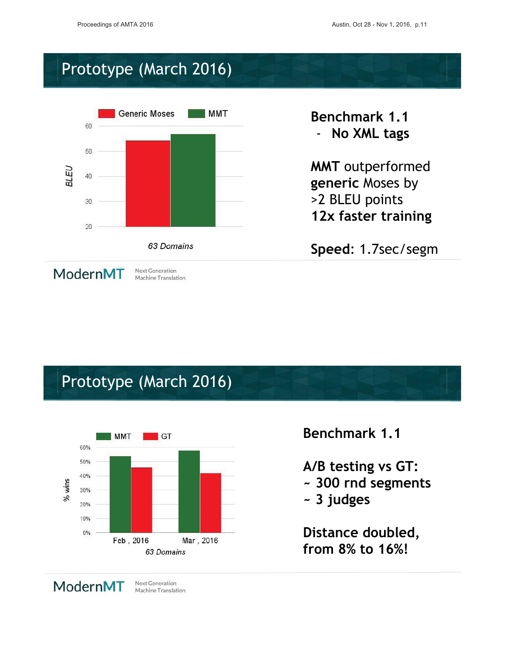#### Prototype (March 2016)



**Benchmark 1.1** - No XML tags

**MMT** outperformed generic Moses by >2 BLEU points 12x faster training

Speed: 1.7sec/segm

#### Prototype (March 2016)



#### **Benchmark 1.1**

A/B testing vs GT: ~ 300 rnd segments

~ 3 judges

Distance doubled, from 8% to 16%!

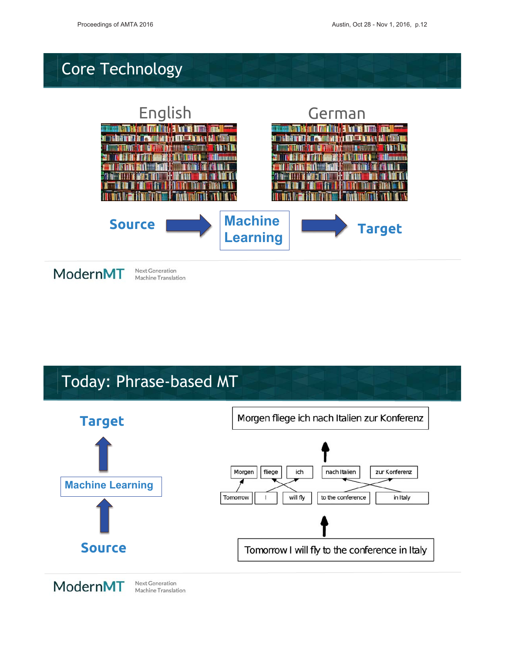# Core Technology



## $T$ oday: Dhraso-basod  $MT$

Machine Translation

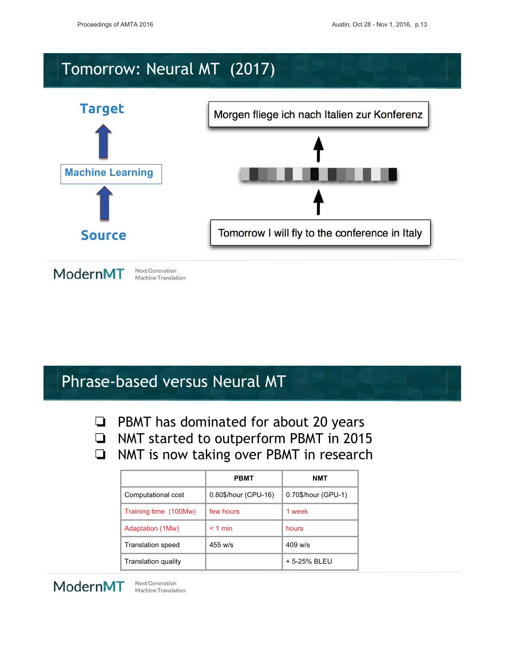### Tomorrow: Neural MT (2017)



### Phrase-based versus Neural MT

PBMT has dominated for about 20 years  $\Box$ 

- NMT started to outperform PBMT in 2015
- NMT is now taking over PBMT in research  $\Box$

|                          | <b>PBMT</b>          | <b>NMT</b>          |
|--------------------------|----------------------|---------------------|
| Computational cost       | 0.80\$/hour (CPU-16) | 0.70\$/hour (GPU-1) |
| Training time (100Mw)    | few hours            | 1 week              |
| <b>Adaptation (1Mw)</b>  | $< 1$ min            | hours               |
| <b>Translation speed</b> | $455$ w/s            | $409$ w/s           |
| Translation quality      |                      | + 5-25% BLEU        |

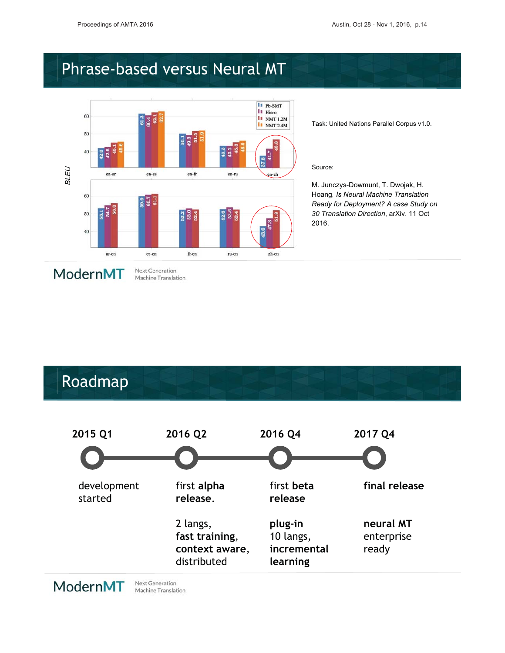#### Phrase-based versus Neural MT



Machine Translation

Task: United Nations Parallel Corpus v1.0.

#### Source:

M. Junczys-Dowmunt, T. Dwojak, H. Hoang, Is Neural Machine Translation Ready for Deployment? A case Study on 30 Translation Direction, arXiv. 11 Oct 2016.

#### ModernMT

#### Roadmap



ModernMT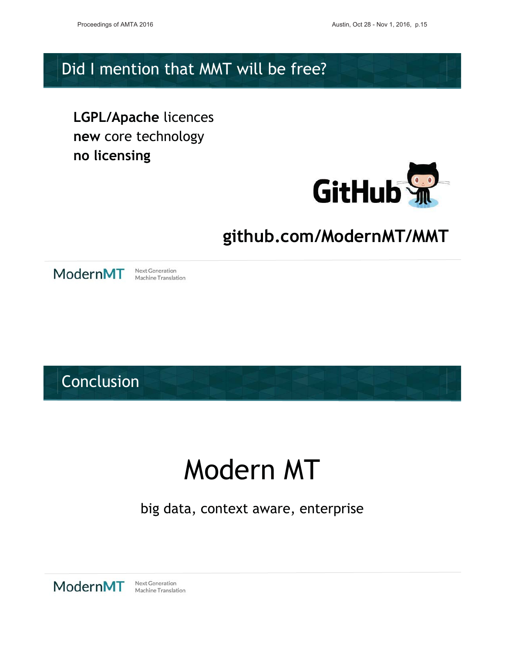#### Did I mention that MMT will be free?

**LGPL/Apache licences** new core technology no licensing



### github.com/ModernMT/MMT



**Next Generation** Machine Translation

Conclusion

# Modern MT

big data, context aware, enterprise

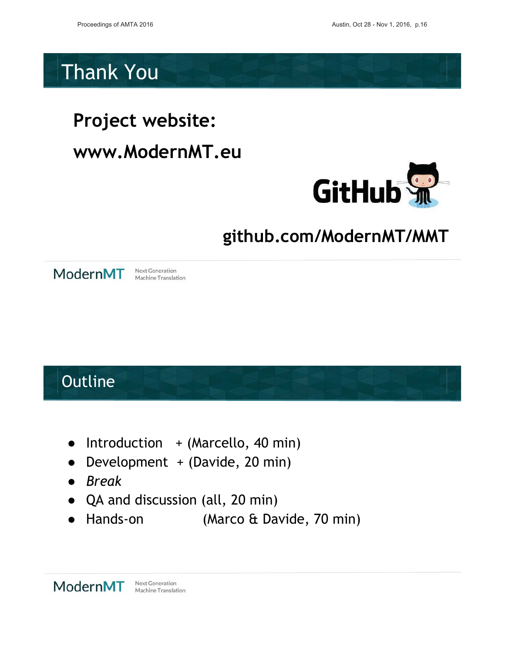### **Thank You**

# Project website: www.ModernMT.eu



# github.com/ModernMT/MMT



Next Generation Machine Translation

# Outline

- Introduction + (Marcello, 40 min)
- Development + (Davide, 20 min)
- Break
- QA and discussion (all, 20 min)
- $\bullet$  Hands-on (Marco & Davide, 70 min)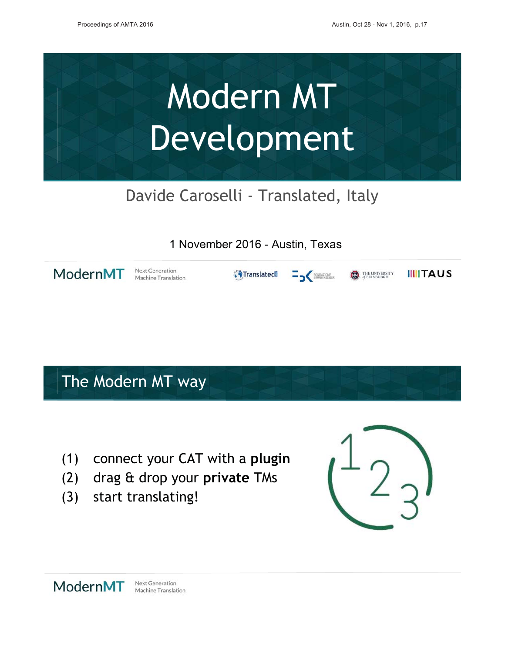

### Davide Caroselli - Translated, Italy

#### 1 November 2016 - Austin, Texas

ModernMT

**Next Generation** Machine Translation

**G**Translated  $=$   $\frac{1}{2}$  for the value of  $\frac{1}{2}$ 

**IIIITAUS D** THE UNIVERSITY

### The Modern MT way

- (1) connect your CAT with a plugin
- drag & drop your private TMs  $(2)$
- $(3)$ start translating!



ModernMT **Next Generation** Machine Translation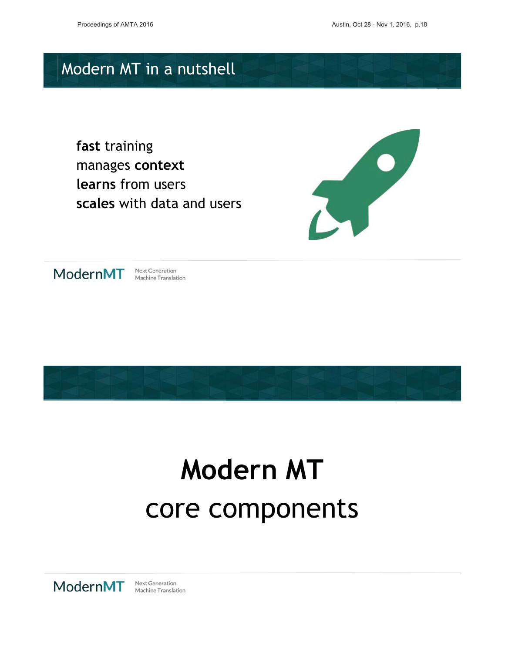## Modern MT in a nutshell

fast training manages context learns from users reales with data and users





Next Generation Machine Translation



# **Modern MT** core components

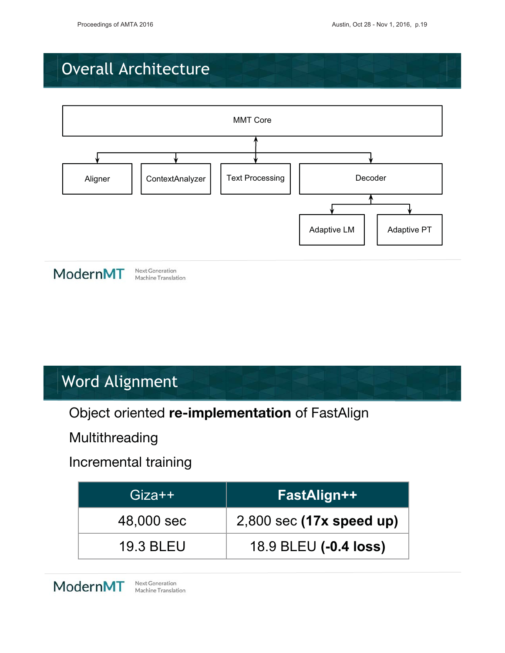### **Overall Architecture**





Next Generation Machine Translation

### **Word Alignment**

Object oriented re-implementation of FastAlign

Multithreading

Incremental training

| $Giza++$         | FastAlign++                |
|------------------|----------------------------|
| 48,000 sec       | $2,800$ sec (17x speed up) |
| <b>19.3 BLEU</b> | 18.9 BLEU (-0.4 loss)      |

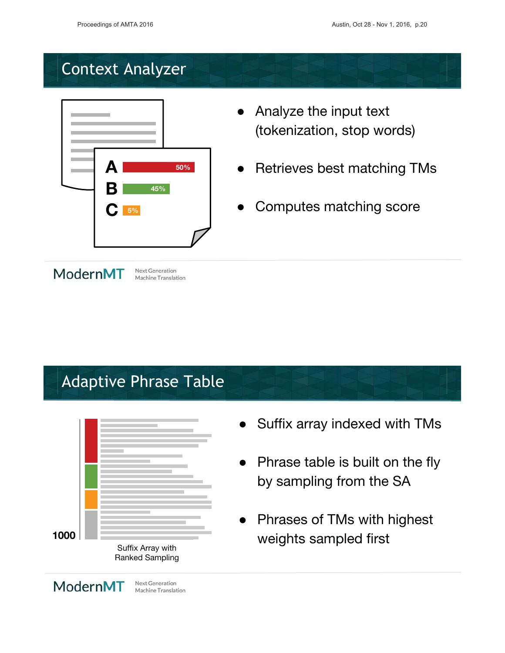# **Context Analyzer**



- $\overline{\phantom{a}}$ • Analyze the input text dokenization. stop words)
- $\overline{\phantom{a}}$ • Retrieves best matching TMs
- $\overline{\phantom{a}}$ • Computes matching score

#### ModernMT

ModernMT

# Adaptive Phrase Table

Next Generation Machine Translation

**Next Generation** Machine Translation



#### • Suffix array indexed with TMs

- $\bullet$  Phrase table is built on the fly by sampling from the SA
- Phrases of TMs with highest weights sampled first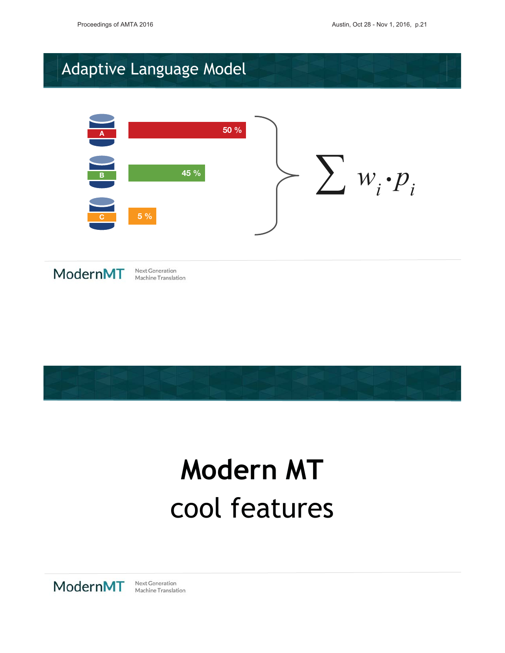# Adaptive Language Model





**Next Generation** Machine Translation



# **Modern MT** cool foatures

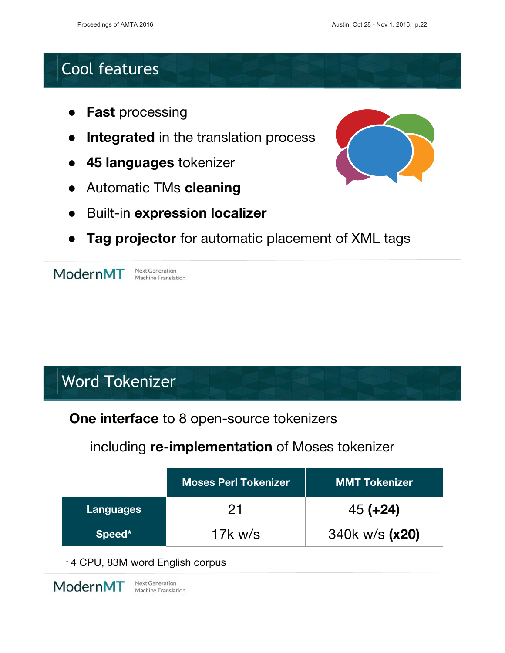#### **Cool features**

- **Fast processing**
- Integrated in the translation process
- 45 languages tokenizer
- **Automatic TMs cleaning**
- **Built-in expression localizer**
- Tag projector for automatic placement of XML tags

ModernMT

**Next Generation** Machine Translation

### **Word Tokenizer**

One interface to 8 open-source tokenizers

#### including re-implementation of Moses tokenizer

|                  | <b>Moses Perl Tokenizer</b> | <b>MMT Tokenizer</b> |
|------------------|-----------------------------|----------------------|
| <b>Languages</b> | 21                          | $45 (+24)$           |
| Speed*           | 17 $k$ w/s                  | 340k w/s (x20)       |

\* 4 CPU, 83M word English corpus

ModernMT

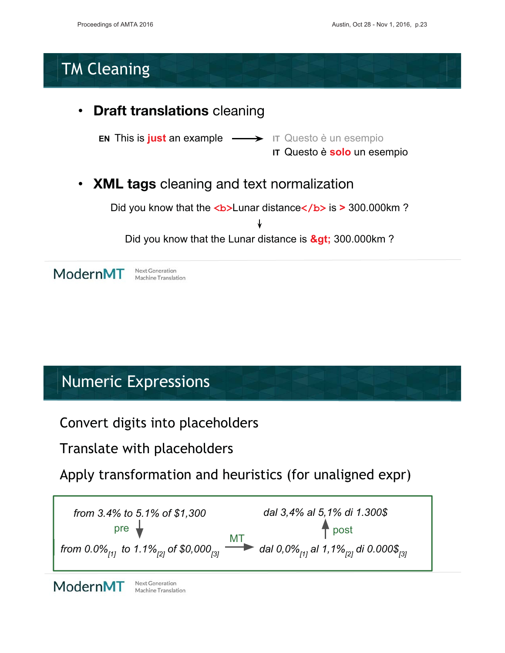### **TM Cleaning**



#### **Numeric Expressions**

Convert digits into placeholders

Translate with placeholders

Apply transformation and heuristics (for unaligned expr)



ModernMT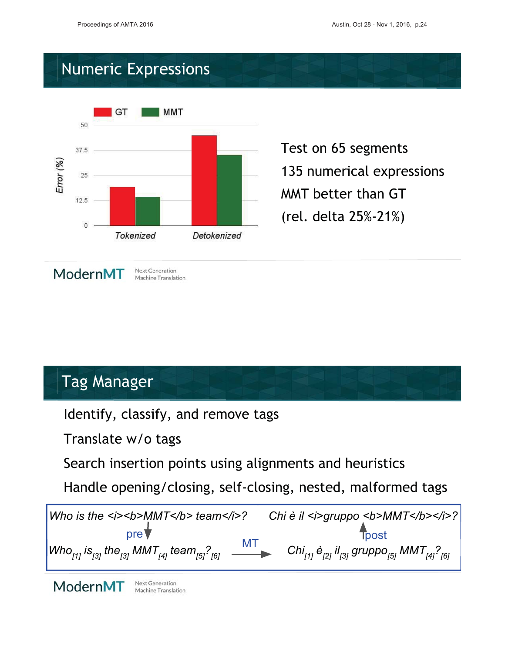Test on 65 segments

MMT better than GT

(rel. delta 25%-21%)

135 numerical expressions

### **Numeric Expressions**



#### **Tag Manager**

Identify, classify, and remove tags

Translate w/o tags

Search insertion points using alignments and heuristics

Handle opening/closing, self-closing, nested, malformed tags



ModernMT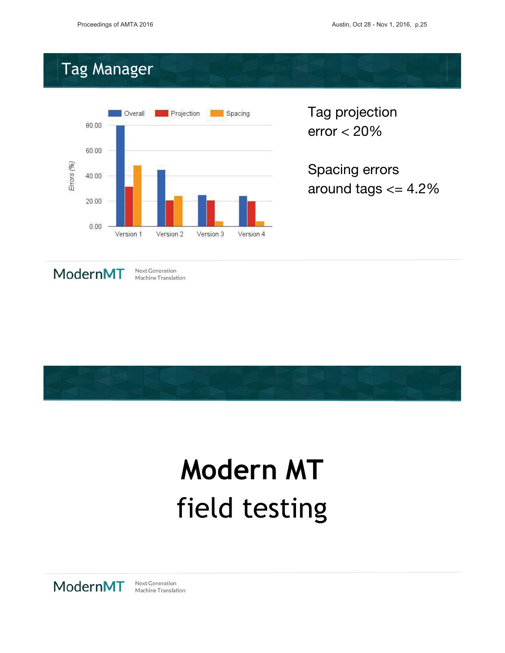# mag Manager<br>Tag Manager



Tag projection  $error < 20\%$ 

Spacing errors around tags  $<=4.2\%$ 



Next Generation Machine Translation



# **Modern MT** fiold tosting

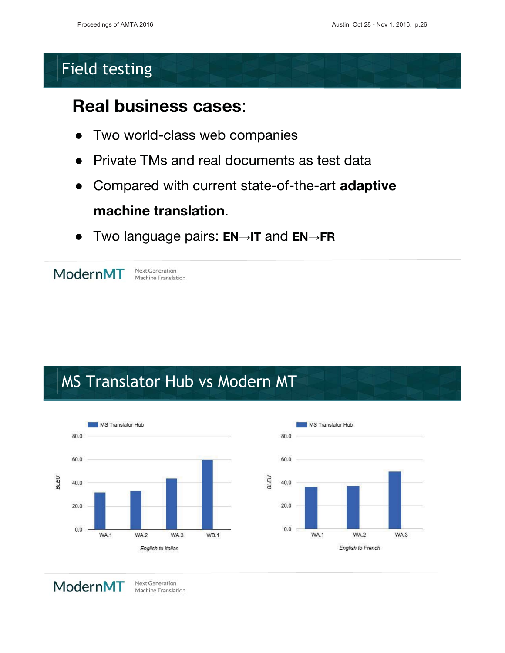### **Field testing**

#### **Real business cases:**

- Two world-class web companies  $\bullet$
- Private TMs and real documents as test data
- Compared with current state-of-the-art adaptive

### machine translation.

Two language pairs:  $EN \rightarrow IT$  and  $EN \rightarrow FR$  $\bullet$ 



**Next Generation** Machine Translation

### MS Translator Hub vs Modern MT





ModernMT